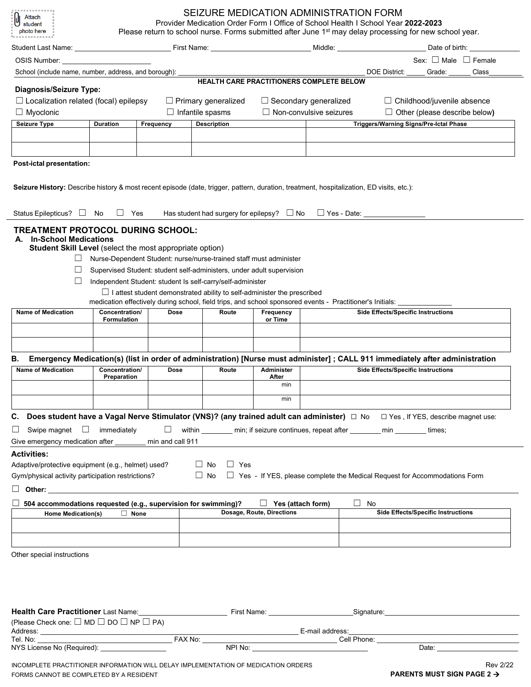| student<br>photo here<br>----------                                                                                                                                                                                                                                            | SEIZURE MEDICATION ADMINISTRATION FORM<br>Provider Medication Order Form I Office of School Health I School Year 2022-2023<br>Please return to school nurse. Forms submitted after June 1 <sup>st</sup> may delay processing for new school year. |                  |                                                                                                                                                                                                                                                                                             |                                |                                                      |                                                                                                                                                                           |  |  |  |
|--------------------------------------------------------------------------------------------------------------------------------------------------------------------------------------------------------------------------------------------------------------------------------|---------------------------------------------------------------------------------------------------------------------------------------------------------------------------------------------------------------------------------------------------|------------------|---------------------------------------------------------------------------------------------------------------------------------------------------------------------------------------------------------------------------------------------------------------------------------------------|--------------------------------|------------------------------------------------------|---------------------------------------------------------------------------------------------------------------------------------------------------------------------------|--|--|--|
|                                                                                                                                                                                                                                                                                |                                                                                                                                                                                                                                                   |                  |                                                                                                                                                                                                                                                                                             |                                |                                                      | Date of birth: ________________                                                                                                                                           |  |  |  |
| OSIS Number:                                                                                                                                                                                                                                                                   |                                                                                                                                                                                                                                                   |                  |                                                                                                                                                                                                                                                                                             |                                |                                                      | Sex: □ Male □ Female                                                                                                                                                      |  |  |  |
| School (include name, number, address, and borough):                                                                                                                                                                                                                           |                                                                                                                                                                                                                                                   |                  |                                                                                                                                                                                                                                                                                             |                                |                                                      | <b>DOE District:</b><br>Grade:<br>Class                                                                                                                                   |  |  |  |
| Diagnosis/Seizure Type:                                                                                                                                                                                                                                                        |                                                                                                                                                                                                                                                   |                  | HEALTH CARE PRACTITIONERS COMPLETE BELOW                                                                                                                                                                                                                                                    |                                |                                                      |                                                                                                                                                                           |  |  |  |
| $\Box$ Localization related (focal) epilepsy                                                                                                                                                                                                                                   |                                                                                                                                                                                                                                                   |                  | $\Box$ Primary generalized                                                                                                                                                                                                                                                                  |                                | $\Box$ Secondary generalized                         | $\Box$ Childhood/juvenile absence                                                                                                                                         |  |  |  |
| $\Box$ Myoclonic                                                                                                                                                                                                                                                               | $\Box$ Infantile spasms                                                                                                                                                                                                                           |                  |                                                                                                                                                                                                                                                                                             | $\Box$ Non-convulsive seizures | $\Box$ Other (please describe below)                 |                                                                                                                                                                           |  |  |  |
| <b>Seizure Type</b>                                                                                                                                                                                                                                                            | <b>Duration</b>                                                                                                                                                                                                                                   | Frequency        | <b>Description</b>                                                                                                                                                                                                                                                                          |                                |                                                      | Triggers/Warning Signs/Pre-Ictal Phase                                                                                                                                    |  |  |  |
|                                                                                                                                                                                                                                                                                |                                                                                                                                                                                                                                                   |                  |                                                                                                                                                                                                                                                                                             |                                |                                                      |                                                                                                                                                                           |  |  |  |
|                                                                                                                                                                                                                                                                                |                                                                                                                                                                                                                                                   |                  |                                                                                                                                                                                                                                                                                             |                                |                                                      |                                                                                                                                                                           |  |  |  |
| Post-ictal presentation:                                                                                                                                                                                                                                                       |                                                                                                                                                                                                                                                   |                  |                                                                                                                                                                                                                                                                                             |                                |                                                      |                                                                                                                                                                           |  |  |  |
| Seizure History: Describe history & most recent episode (date, trigger, pattern, duration, treatment, hospitalization, ED visits, etc.):<br>Status Epilepticus? $\Box$ No                                                                                                      | □ Yes                                                                                                                                                                                                                                             |                  | Has student had surgery for epilepsy? $\Box$ No                                                                                                                                                                                                                                             |                                |                                                      | $\Box$ Yes - Date:                                                                                                                                                        |  |  |  |
| TREATMENT PROTOCOL DURING SCHOOL:<br>A. In-School Medications<br>Student Skill Level (select the most appropriate option)<br>⊔<br>ш<br>ш                                                                                                                                       |                                                                                                                                                                                                                                                   |                  | Nurse-Dependent Student: nurse/nurse-trained staff must administer<br>Supervised Student: student self-administers, under adult supervision<br>Independent Student: student Is self-carry/self-administer<br>$\Box$ I attest student demonstrated ability to self-administer the prescribed |                                |                                                      |                                                                                                                                                                           |  |  |  |
|                                                                                                                                                                                                                                                                                |                                                                                                                                                                                                                                                   |                  |                                                                                                                                                                                                                                                                                             |                                |                                                      | medication effectively during school, field trips, and school sponsored events - Practitioner's Initials: Unit                                                            |  |  |  |
|                                                                                                                                                                                                                                                                                |                                                                                                                                                                                                                                                   |                  |                                                                                                                                                                                                                                                                                             |                                |                                                      |                                                                                                                                                                           |  |  |  |
|                                                                                                                                                                                                                                                                                | Concentration/<br><b>Formulation</b>                                                                                                                                                                                                              | <b>Dose</b>      | Route                                                                                                                                                                                                                                                                                       | Frequency<br>or Time           |                                                      | <b>Side Effects/Specific Instructions</b>                                                                                                                                 |  |  |  |
| <b>Name of Medication</b>                                                                                                                                                                                                                                                      |                                                                                                                                                                                                                                                   |                  |                                                                                                                                                                                                                                                                                             |                                |                                                      |                                                                                                                                                                           |  |  |  |
| В.<br><b>Name of Medication</b>                                                                                                                                                                                                                                                | Concentration/<br>Preparation                                                                                                                                                                                                                     | Dose             | Route                                                                                                                                                                                                                                                                                       | Administer<br>After<br>min     |                                                      | Emergency Medication(s) (list in order of administration) [Nurse must administer]; CALL 911 immediately after administration<br><b>Side Effects/Specific Instructions</b> |  |  |  |
|                                                                                                                                                                                                                                                                                |                                                                                                                                                                                                                                                   |                  |                                                                                                                                                                                                                                                                                             | min                            |                                                      |                                                                                                                                                                           |  |  |  |
|                                                                                                                                                                                                                                                                                |                                                                                                                                                                                                                                                   |                  |                                                                                                                                                                                                                                                                                             |                                |                                                      | C. Does student have a Vagal Nerve Stimulator (VNS)? (any trained adult can administer) □ No □ Yes, If YES, describe magnet use:                                          |  |  |  |
| Swipe magnet $\Box$ immediately                                                                                                                                                                                                                                                |                                                                                                                                                                                                                                                   | $\Box$           |                                                                                                                                                                                                                                                                                             |                                |                                                      | within _________ min; if seizure continues, repeat after ________ min ________ times;                                                                                     |  |  |  |
|                                                                                                                                                                                                                                                                                |                                                                                                                                                                                                                                                   | min and call 911 |                                                                                                                                                                                                                                                                                             |                                |                                                      |                                                                                                                                                                           |  |  |  |
| Other: will be a series of the contract of the contract of the contract of the contract of the contract of the contract of the contract of the contract of the contract of the contract of the contract of the contract of the                                                 |                                                                                                                                                                                                                                                   |                  | $\Box$ No<br>$\Box$ Yes                                                                                                                                                                                                                                                                     |                                |                                                      | $\Box$ No $\Box$ Yes - If YES, please complete the Medical Request for Accommodations Form                                                                                |  |  |  |
| 504 accommodations requested (e.g., supervision for swimming)?                                                                                                                                                                                                                 |                                                                                                                                                                                                                                                   |                  |                                                                                                                                                                                                                                                                                             | $\Box$ Yes (attach form)       |                                                      | $\Box$ No                                                                                                                                                                 |  |  |  |
| Home Medication(s)                                                                                                                                                                                                                                                             | $\Box$ None                                                                                                                                                                                                                                       |                  |                                                                                                                                                                                                                                                                                             | Dosage, Route, Directions      |                                                      | <b>Side Effects/Specific Instructions</b>                                                                                                                                 |  |  |  |
|                                                                                                                                                                                                                                                                                |                                                                                                                                                                                                                                                   |                  |                                                                                                                                                                                                                                                                                             |                                |                                                      |                                                                                                                                                                           |  |  |  |
|                                                                                                                                                                                                                                                                                |                                                                                                                                                                                                                                                   |                  |                                                                                                                                                                                                                                                                                             |                                |                                                      |                                                                                                                                                                           |  |  |  |
|                                                                                                                                                                                                                                                                                |                                                                                                                                                                                                                                                   |                  |                                                                                                                                                                                                                                                                                             |                                |                                                      |                                                                                                                                                                           |  |  |  |
|                                                                                                                                                                                                                                                                                |                                                                                                                                                                                                                                                   |                  |                                                                                                                                                                                                                                                                                             |                                |                                                      |                                                                                                                                                                           |  |  |  |
| ப<br>Give emergency medication after<br><b>Activities:</b><br>Adaptive/protective equipment (e.g., helmet) used?<br>Gym/physical activity participation restrictions?<br>Other special instructions<br>(Please Check one: $\square$ MD $\square$ DO $\square$ NP $\square$ PA) |                                                                                                                                                                                                                                                   |                  |                                                                                                                                                                                                                                                                                             |                                | __________________________________ E-mail address:__ |                                                                                                                                                                           |  |  |  |
| Tel. No:<br>NYS License No (Required):                                                                                                                                                                                                                                         |                                                                                                                                                                                                                                                   |                  |                                                                                                                                                                                                                                                                                             | NPI No:                        |                                                      | Date:                                                                                                                                                                     |  |  |  |

FORMS CANNOT BE COMPLETED BY A RESIDENT **PARENTS MUST SIGN PAGE 2 >**